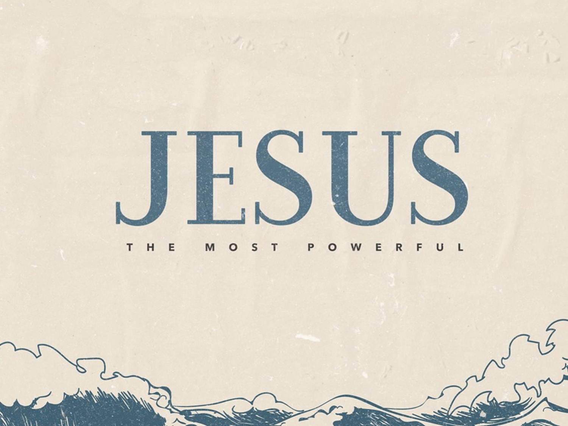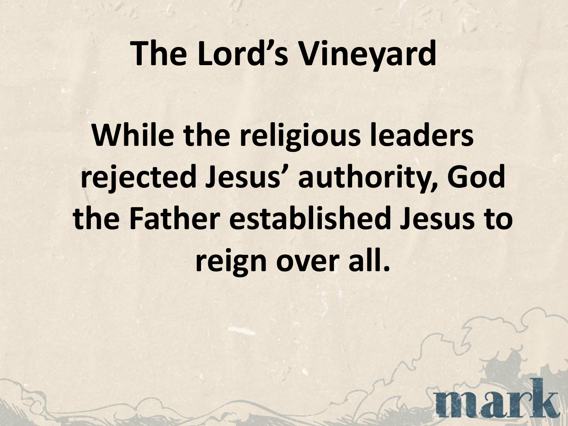## **The Lord's Vineyard**

**While the religious leaders rejected Jesus' authority, God the Father established Jesus to reign over all.**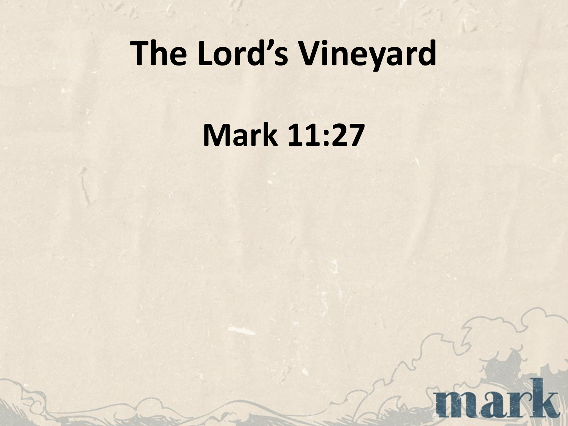## **The Lord's Vineyard**

**Mark 11:27**

nark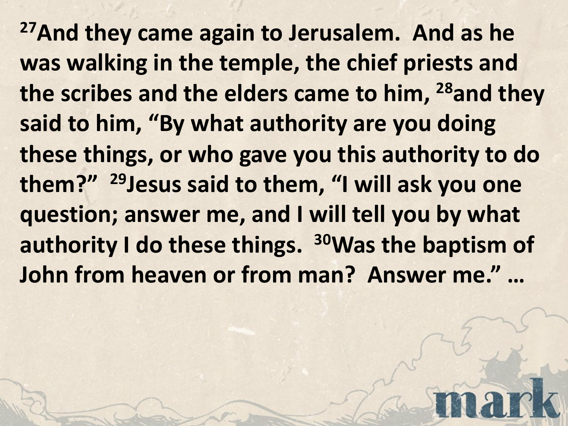**27And they came again to Jerusalem. And as he was walking in the temple, the chief priests and the scribes and the elders came to him, 28and they said to him, "By what authority are you doing these things, or who gave you this authority to do them?" 29Jesus said to them, "I will ask you one question; answer me, and I will tell you by what authority I do these things. 30Was the baptism of John from heaven or from man? Answer me." …**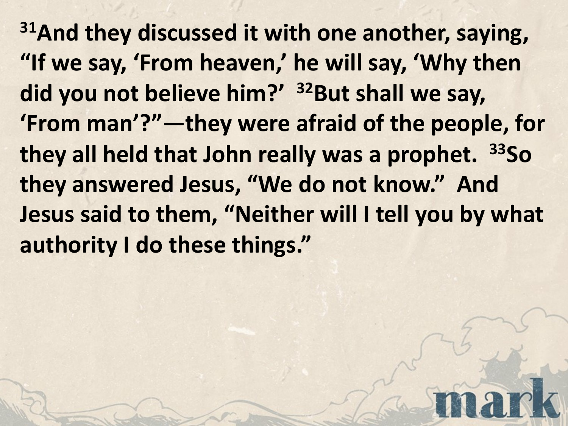**31And they discussed it with one another, saying, "If we say, 'From heaven,' he will say, 'Why then did you not believe him?' 32But shall we say, 'From man'?"—they were afraid of the people, for they all held that John really was a prophet. 33So they answered Jesus, "We do not know." And Jesus said to them, "Neither will I tell you by what authority I do these things."**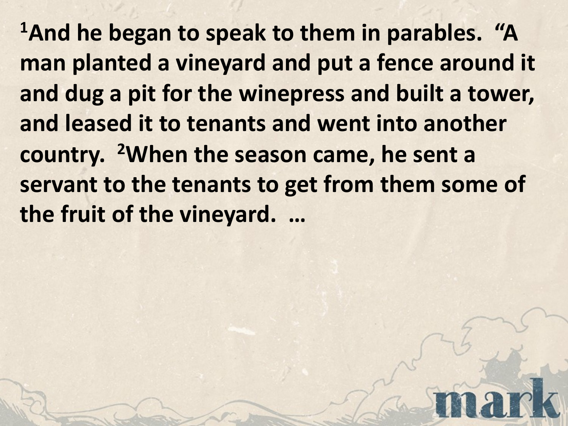<sup>1</sup> And he began to speak to them in parables. "A **man planted a vineyard and put a fence around it and dug a pit for the winepress and built a tower, and leased it to tenants and went into another country. 2When the season came, he sent a servant to the tenants to get from them some of the fruit of the vineyard. …**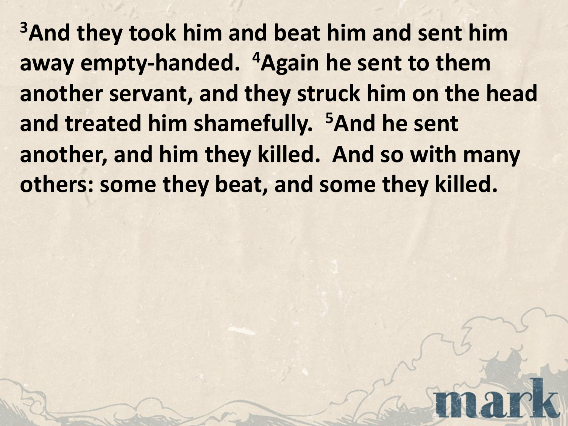**3And they took him and beat him and sent him away empty-handed. 4Again he sent to them another servant, and they struck him on the head and treated him shamefully. 5And he sent another, and him they killed. And so with many others: some they beat, and some they killed.**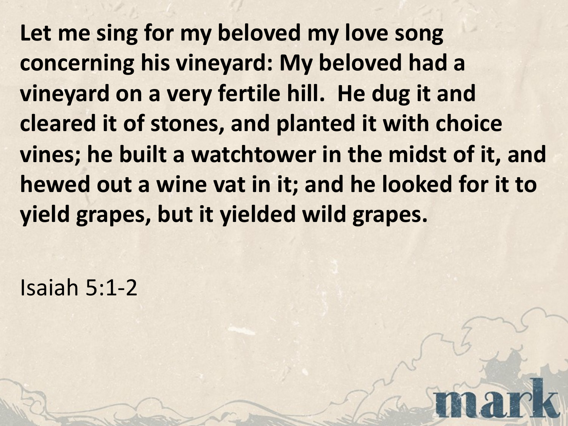**Let me sing for my beloved my love song concerning his vineyard: My beloved had a vineyard on a very fertile hill. He dug it and cleared it of stones, and planted it with choice vines; he built a watchtower in the midst of it, and hewed out a wine vat in it; and he looked for it to yield grapes, but it yielded wild grapes.**

Isaiah 5:1-2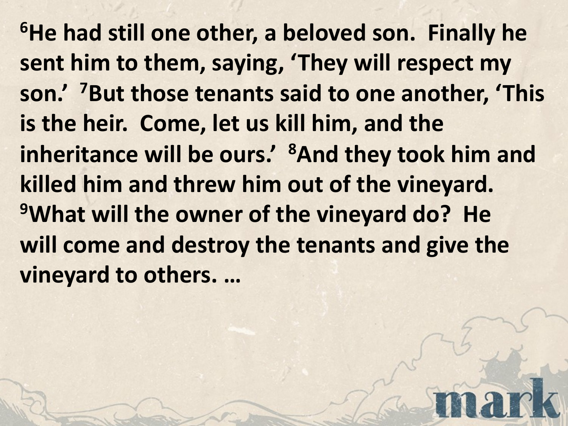**6He had still one other, a beloved son. Finally he sent him to them, saying, 'They will respect my son.' 7But those tenants said to one another, 'This is the heir. Come, let us kill him, and the inheritance will be ours.' 8And they took him and killed him and threw him out of the vineyard. 9What will the owner of the vineyard do? He will come and destroy the tenants and give the vineyard to others. …**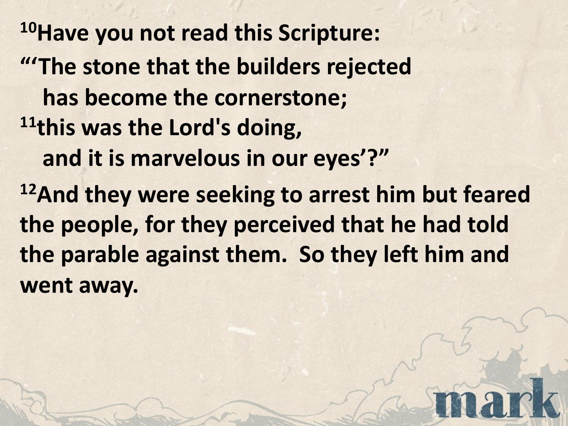**10Have you not read this Scripture: "'The stone that the builders rejected has become the cornerstone; 11this was the Lord's doing, and it is marvelous in our eyes'?" 12And they were seeking to arrest him but feared the people, for they perceived that he had told the parable against them. So they left him and went away.**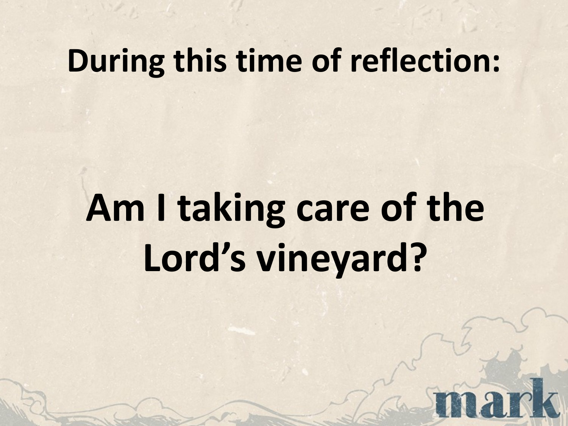## **During this time of reflection:**

## **Am I taking care of the Lord's vineyard?**

nar